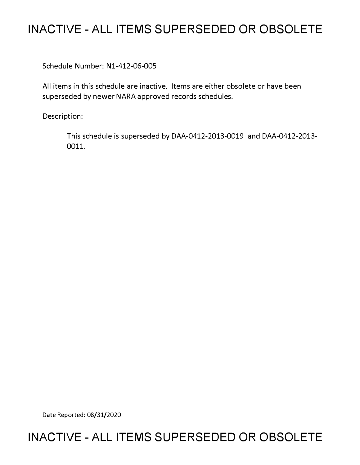## **INACTIVE - ALL ITEMS SUPERSEDED OR OBSOLETE**

Schedule Number: Nl-412-06-005

All items in this schedule are inactive. Items are either obsolete or have been superseded by newer NARA approved records schedules.

Description:

This schedule is superseded by DAA-0412-2013-0019 and DAA-0412-2013- 0011.

Date Reported: 08/31/2020

## **INACTIVE - ALL ITEMS SUPERSEDED OR OBSOLETE**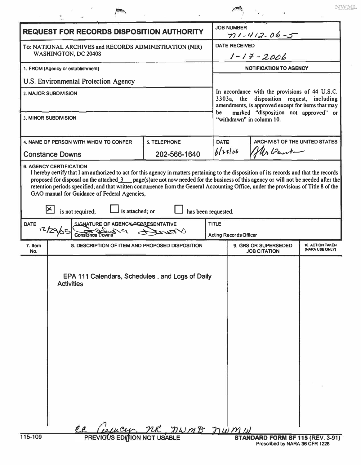| <b>REQUEST FOR RECORDS DISPOSITION AUTHORITY</b>                                                                                                                                                                                                                                                                                                                                                                                                                                                                                                       |                                                                      |              |                    | <b>JOB NUMBER</b><br>$71 - 412 - 06 - 5$                                                                                                                                                                                       |                                       |                                            |  |
|--------------------------------------------------------------------------------------------------------------------------------------------------------------------------------------------------------------------------------------------------------------------------------------------------------------------------------------------------------------------------------------------------------------------------------------------------------------------------------------------------------------------------------------------------------|----------------------------------------------------------------------|--------------|--------------------|--------------------------------------------------------------------------------------------------------------------------------------------------------------------------------------------------------------------------------|---------------------------------------|--------------------------------------------|--|
| To: NATIONAL ARCHIVES and RECORDS ADMINISTRATION (NIR)<br>WASHINGTON, DC 20408                                                                                                                                                                                                                                                                                                                                                                                                                                                                         |                                                                      |              |                    | <b>DATE RECEIVED</b><br>$1 - 17 - 2006$                                                                                                                                                                                        |                                       |                                            |  |
| 1. FROM (Agency or establishment)                                                                                                                                                                                                                                                                                                                                                                                                                                                                                                                      |                                                                      |              |                    | <b>NOTIFICATION TO AGENCY</b>                                                                                                                                                                                                  |                                       |                                            |  |
| U.S. Environmental Protection Agency                                                                                                                                                                                                                                                                                                                                                                                                                                                                                                                   |                                                                      |              |                    | In accordance with the provisions of 44 U.S.C.<br>3303a, the<br>disposition request, including<br>amendments, is approved except for items that may<br>marked "disposition not approved" or<br>be<br>"withdrawn" in column 10. |                                       |                                            |  |
| 2. MAJOR SUBDIVISION                                                                                                                                                                                                                                                                                                                                                                                                                                                                                                                                   |                                                                      |              |                    |                                                                                                                                                                                                                                |                                       |                                            |  |
| 3. MINOR SUBDIVISION                                                                                                                                                                                                                                                                                                                                                                                                                                                                                                                                   |                                                                      |              |                    |                                                                                                                                                                                                                                |                                       |                                            |  |
| <b>5. TELEPHONE</b><br>4. NAME OF PERSON WITH WHOM TO CONFER                                                                                                                                                                                                                                                                                                                                                                                                                                                                                           |                                                                      |              | DATE<br>$b$ (>3/06 |                                                                                                                                                                                                                                | <b>ARCHIVIST OF THE UNITED STATES</b> |                                            |  |
|                                                                                                                                                                                                                                                                                                                                                                                                                                                                                                                                                        | <b>Constance Downs</b>                                               | 202-566-1640 |                    |                                                                                                                                                                                                                                | Mr Bent-                              |                                            |  |
| I hereby certify that I am authorized to act for this agency in matters pertaining to the disposition of its records and that the records<br>proposed for disposal on the attached 3 page(s)are not now needed for the business of this agency or will not be needed after the<br>retention periods specified; and that written concurrence from the General Accounting Office, under the provisions of Title 8 of the<br>GAO manual for Guidance of Federal Agencies,<br>$ \mathsf{x} $<br>is attached; or<br>has been requested.<br>is not required; |                                                                      |              |                    |                                                                                                                                                                                                                                |                                       |                                            |  |
| <b>DATE</b><br><b>TITLE</b><br>SIGNATURE OF AGENCLASS RESENTATIVE                                                                                                                                                                                                                                                                                                                                                                                                                                                                                      |                                                                      |              |                    |                                                                                                                                                                                                                                |                                       |                                            |  |
| 12/29/05/<br>$\mathcal{N}$ Turtz                                                                                                                                                                                                                                                                                                                                                                                                                                                                                                                       |                                                                      |              |                    | <b>Acting Records Officer</b>                                                                                                                                                                                                  |                                       |                                            |  |
| 7. Item<br>No.                                                                                                                                                                                                                                                                                                                                                                                                                                                                                                                                         | 8. DESCRIPTION OF ITEM AND PROPOSED DISPOSITION                      |              |                    | 9. GRS OR SUPERSEDED<br><b>JOB CITATION</b>                                                                                                                                                                                    |                                       | <b>10. ACTION TAKEN</b><br>(NARA USE ONLY) |  |
|                                                                                                                                                                                                                                                                                                                                                                                                                                                                                                                                                        | EPA 111 Calendars, Schedules, and Logs of Daily<br><b>Activities</b> |              |                    |                                                                                                                                                                                                                                |                                       |                                            |  |
|                                                                                                                                                                                                                                                                                                                                                                                                                                                                                                                                                        |                                                                      |              |                    |                                                                                                                                                                                                                                |                                       |                                            |  |
| ee Ceucy, MR, NWMB NWMW<br>115-109<br>STANDARD FORM SF 115 (REV. 3-91)                                                                                                                                                                                                                                                                                                                                                                                                                                                                                 |                                                                      |              |                    |                                                                                                                                                                                                                                |                                       |                                            |  |

 $\mu$ 

NWML

 $\overline{\chi}^{\pm}_{11}$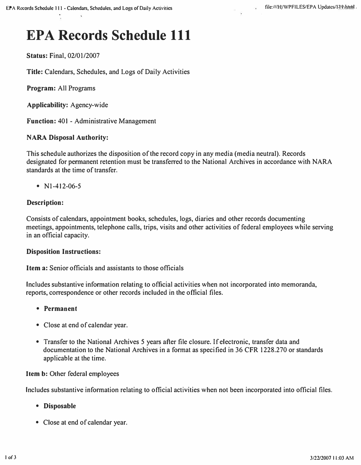# **EPA Records Schedule 111**

**Status: Final, 02/01/2007** 

**Title: Calendars, Schedules, and Logs of Daily Activities** 

**Program: All Programs** 

**Applicability: Agency-wide** 

**Function: 401 - Administrative Management** 

#### **NARA Disposal Authority:**

**This schedule authorizes the disposition of the record copy in any media (media neutral). Records designated for pennanent retention must be transferred to the National Archives in accordance with NARA standards at the time of transfer.** 

**• Nl-412-06-5** 

#### **Description:**

**Consists of calendars, appointment books, schedules, logs, diaries and other records documenting meetings, appointments, telephone calls, trips, visits and other activities of federal employees while serving in an official capacity.** 

#### **Disposition Instructions:**

**Item a: Senior officials and assistants to those officials** 

Includes substantive information relating to official activities when not incorporated into memoranda, **reports, correspondence or other records included in the official files.** 

- **Permanent**
- **Close at end of calendar year.**
- **Transfer to the National Archives 5 years after file closure. If electronic, transfer data and documentation to the National Archives in a fonnat as specified in 36 CFR 1228.270 or standards applicable at the time.**

#### **Item b: Other federal employees**

**Includes substantive infonnation relating to official activities when not been incorporated into official files.** 

- **Disposable**
- **Close at end of calendar year.**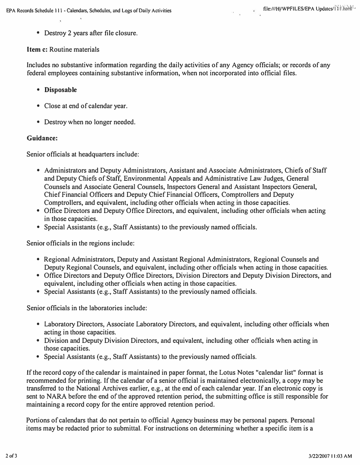**• Destroy 2 years after file closure.** 

#### **Item c: Routine materials**

**Includes no substantive infonnation regarding the daily activities of any Agency officials; or records of any federal employees containing substantive infonnation, when not incorporated into official files.** 

- **Disposable**
- **Close at end of calendar year.**
- **Destroy when no longer needed.**

#### **Guidance:**

**Senior officials at headquarters include:** 

- **Administrators and Deputy Administrators, Assistant and Associate Administrators, Chiefs of Staff and Deputy Chiefs of Staff, Environmental Appeals and Administrative Law Judges, General Counsels and Associate General Counsels, Inspectors General and Assistant Inspectors General, Chief Financial Officers and Deputy Chief Financial Officers, Comptrollers and Deputy Comptrollers, and equivalent, including other officials when acting in those capacities.**
- **Office Directors and Deputy Office Directors, and equivalent, including other officials when acting in those capacities.**
- Special Assistants (e.g., Staff Assistants) to the previously named officials.

**Senior officials in the regions include:** 

- **Regional Administrators, Deputy and Assistant Regional Administrators, Regional Counsels and Deputy Regional Counsels, and equivalent, including other officials when acting in those capacities.**
- **Office Directors and Deputy Office Directors, Division Directors and Deputy Division Directors, and equivalent, including other officials when acting in those capacities.**
- Special Assistants (e.g., Staff Assistants) to the previously named officials.

**Senior officials in the laboratories include:** 

- **Laboratory Directors, Associate Laboratory Directors, and equivalent, including other officials when acting in those capacities.**
- **Division and Deputy Division Directors, and equivalent, including other officials when acting in those capacities.**
- **Special Assistants (e.g., Staff Assistants) to the previously named officials.**

**If the record copy of the calendar is maintained in paper fonnat, the Lotus Notes "calendar list" fonnat is recommended for printing. If the calendar of a senior official is maintained electronically, a copy may be transferred to the National Archives earlier, e.g., at the end of each calendar year. If an electronic copy is sent to NARA before the end of the approved retention period, the submitting office is still responsible for maintaining a record copy for the entire approved retention period.** 

**Portions of calendars that do not pertain to official Agency business may be personal papers. Personal items may be redacted prior to submittal. For instructions on detennining whether a specific item is a**